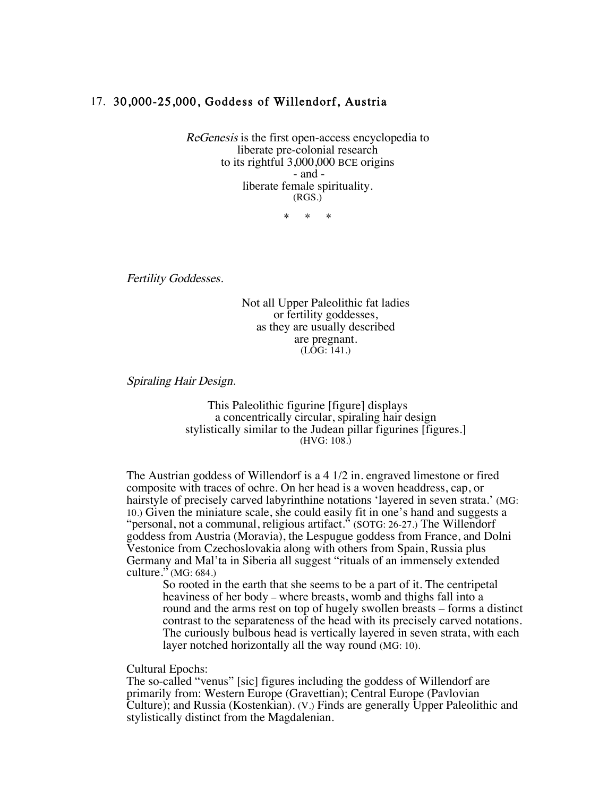## 17. 30,000-25,000, Goddess of Willendorf, Austria

ReGenesis is the first open-access encyclopedia to liberate pre-colonial research to its rightful 3,000,000 BCE origins - and liberate female spirituality. (RGS.)

\* \* \*

Fertility Goddesses.

Not all Upper Paleolithic fat ladies or fertility goddesses, as they are usually described are pregnant. (LOG: 141.)

Spiraling Hair Design.

This Paleolithic figurine [figure] displays a concentrically circular, spiraling hair design stylistically similar to the Judean pillar figurines [figures.] (HVG: 108.)

The Austrian goddess of Willendorf is a 4 1/2 in. engraved limestone or fired composite with traces of ochre. On her head is a woven headdress, cap, or hairstyle of precisely carved labyrinthine notations 'layered in seven strata.' (MG: 10.) Given the miniature scale, she could easily fit in one's hand and suggests a "personal, not a communal, religious artifact." (SOTG: 26-27.) The Willendorf goddess from Austria (Moravia), the Lespugue goddess from France, and Dolni Vestonice from Czechoslovakia along with others from Spain, Russia plus Germany and Mal'ta in Siberia all suggest "rituals of an immensely extended culture." (MG: 684.)

So rooted in the earth that she seems to be a part of it. The centripetal heaviness of her body – where breasts, womb and thighs fall into a round and the arms rest on top of hugely swollen breasts – forms a distinct contrast to the separateness of the head with its precisely carved notations. The curiously bulbous head is vertically layered in seven strata, with each layer notched horizontally all the way round (MG: 10).

Cultural Epochs:

The so-called "venus" [sic] figures including the goddess of Willendorf are primarily from: Western Europe (Gravettian); Central Europe (Pavlovian Culture); and Russia (Kostenkian). (V.) Finds are generally Upper Paleolithic and stylistically distinct from the Magdalenian.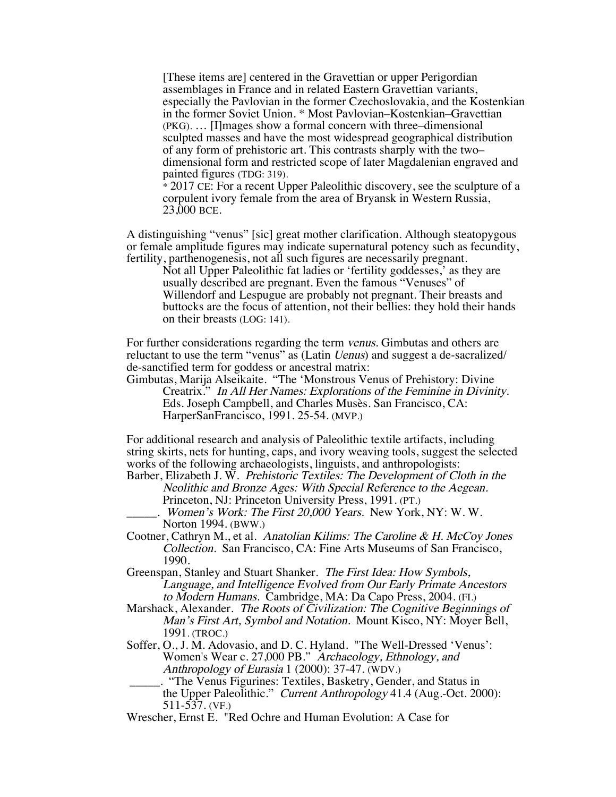[These items are] centered in the Gravettian or upper Perigordian assemblages in France and in related Eastern Gravettian variants, especially the Pavlovian in the former Czechoslovakia, and the Kostenkian in the former Soviet Union. \* Most Pavlovian–Kostenkian–Gravettian (PKG). … [I]mages show a formal concern with three–dimensional sculpted masses and have the most widespread geographical distribution of any form of prehistoric art. This contrasts sharply with the two– dimensional form and restricted scope of later Magdalenian engraved and painted figures (TDG: 319).

\* 2017 CE: For a recent Upper Paleolithic discovery, see the sculpture of a corpulent ivory female from the area of Bryansk in Western Russia, 23,000 BCE.

A distinguishing "venus" [sic] great mother clarification. Although steatopygous or female amplitude figures may indicate supernatural potency such as fecundity, fertility, parthenogenesis, not all such figures are necessarily pregnant.

Not all Upper Paleolithic fat ladies or 'fertility goddesses,' as they are usually described are pregnant. Even the famous "Venuses" of Willendorf and Lespugue are probably not pregnant. Their breasts and buttocks are the focus of attention, not their bellies: they hold their hands on their breasts (LOG: 141).

For further considerations regarding the term venus. Gimbutas and others are reluctant to use the term "venus" as (Latin Uenus) and suggest a de-sacralized/ de-sanctified term for goddess or ancestral matrix:

Gimbutas, Marija Alseikaite. "The 'Monstrous Venus of Prehistory: Divine Creatrix." In All Her Names: Explorations of the Feminine in Divinity. Eds. Joseph Campbell, and Charles Musès. San Francisco, CA: HarperSanFrancisco, 1991. 25-54. (MVP.)

For additional research and analysis of Paleolithic textile artifacts, including string skirts, nets for hunting, caps, and ivory weaving tools, suggest the selected works of the following archaeologists, linguists, and anthropologists:

Barber, Elizabeth J. W. Prehistoric Textiles: The Development of Cloth in the Neolithic and Bronze Ages: With Special Reference to the Aegean. Princeton, NJ: Princeton University Press, 1991. (PT.)

\_\_\_\_\_. Women's Work: The First 20,000 Years. New York, NY: W. W. Norton 1994. (BWW.)

- Cootner, Cathryn M., et al. Anatolian Kilims: The Caroline & H. McCoy Jones Collection. San Francisco, CA: Fine Arts Museums of San Francisco, 1990.
- Greenspan, Stanley and Stuart Shanker. The First Idea: How Symbols, Language, and Intelligence Evolved from Our Early Primate Ancestors to Modern Humans. Cambridge, MA: Da Capo Press, 2004. (FI.)
- Marshack, Alexander. The Roots of Civilization: The Cognitive Beginnings of Man's First Art, Symbol and Notation. Mount Kisco, NY: Moyer Bell, 1991. (TROC.)
- Soffer, O., J. M. Adovasio, and D. C. Hyland. "The Well-Dressed 'Venus': Women's Wear c. 27,000 PB." Archaeology, Ethnology, and Anthropology of Eurasia 1 (2000): 37-47. (WDV.)
	- \_\_\_\_\_. "The Venus Figurines: Textiles, Basketry, Gender, and Status in the Upper Paleolithic." Current Anthropology 41.4 (Aug.-Oct. 2000): 511-537. (VF.)
- Wrescher, Ernst E. "Red Ochre and Human Evolution: A Case for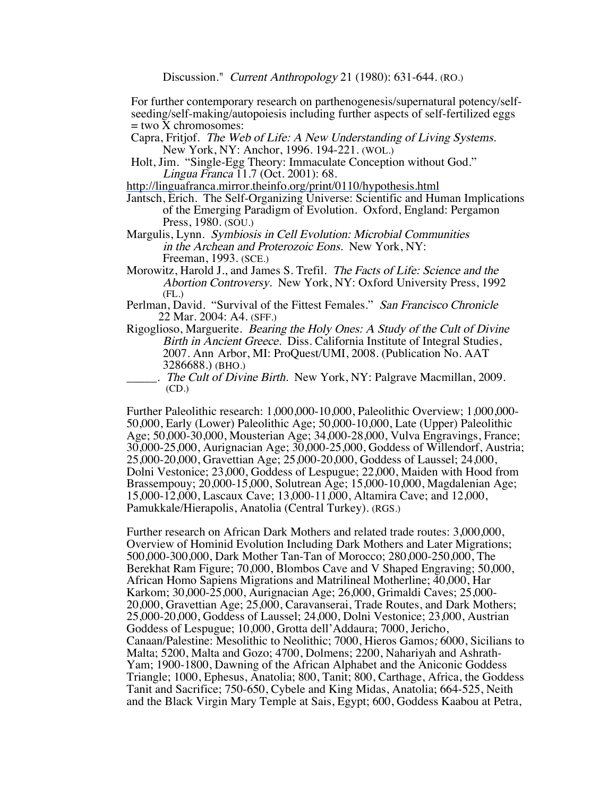Discussion." Current Anthropology 21 (1980): 631-644. (RO.)

For further contemporary research on parthenogenesis/supernatural potency/selfseeding/self-making/autopoiesis including further aspects of self-fertilized eggs = two X chromosomes:

Capra, Fritjof. The Web of Life: A New Understanding of Living Systems. New York, NY: Anchor, 1996. 194-221. (WOL.)

Holt, Jim. "Single-Egg Theory: Immaculate Conception without God." Lingua Franca 11.7 (Oct. 2001): 68.

http://linguafranca.mirror.theinfo.org/print/0110/hypothesis.html

Jantsch, Erich. The Self-Organizing Universe: Scientific and Human Implications of the Emerging Paradigm of Evolution. Oxford, England: Pergamon Press, 1980. (SOU.)

Margulis, Lynn. Symbiosis in Cell Evolution: Microbial Communities in the Archean and Proterozoic Eons. New York, NY: Freeman, 1993. (SCE.)

Morowitz, Harold J., and James S. Trefil. The Facts of Life: Science and the Abortion Controversy. New York, NY: Oxford University Press, 1992 (FL.)

Perlman, David. "Survival of the Fittest Females." San Francisco Chronicle 22 Mar. 2004: A4. (SFF.)

Rigoglioso, Marguerite. Bearing the Holy Ones: A Study of the Cult of Divine Birth in Ancient Greece. Diss. California Institute of Integral Studies, 2007. Ann Arbor, MI: ProQuest/UMI, 2008. (Publication No. AAT 3286688.) (BHO.)

. The Cult of Divine Birth. New York, NY: Palgrave Macmillan, 2009. (CD.)

Further Paleolithic research: 1,000,000-10,000, Paleolithic Overview; 1,000,000- 50,000, Early (Lower) Paleolithic Age; 50,000-10,000, Late (Upper) Paleolithic Age; 50,000-30,000, Mousterian Age; 34,000-28,000, Vulva Engravings, France; 30,000-25,000, Aurignacian Age; 30,000-25,000, Goddess of Willendorf, Austria; 25,000-20,000, Gravettian Age; 25,000-20,000, Goddess of Laussel; 24,000, Dolni Vestonice; 23,000, Goddess of Lespugue; 22,000, Maiden with Hood from Brassempouy; 20,000-15,000, Solutrean Age; 15,000-10,000, Magdalenian Age; 15,000-12,000, Lascaux Cave; 13,000-11,000, Altamira Cave; and 12,000, Pamukkale/Hierapolis, Anatolia (Central Turkey). (RGS.)

Further research on African Dark Mothers and related trade routes: 3,000,000, Overview of Hominid Evolution Including Dark Mothers and Later Migrations; 500,000-300,000, Dark Mother Tan-Tan of Morocco; 280,000-250,000, The Berekhat Ram Figure; 70,000, Blombos Cave and V Shaped Engraving; 50,000, African Homo Sapiens Migrations and Matrilineal Motherline; 40,000, Har Karkom; 30,000-25,000, Aurignacian Age; 26,000, Grimaldi Caves; 25,000- 20,000, Gravettian Age; 25,000, Caravanserai, Trade Routes, and Dark Mothers; 25,000-20,000, Goddess of Laussel; 24,000, Dolni Vestonice; 23,000, Austrian Goddess of Lespugue; 10,000, Grotta dell'Addaura; 7000, Jericho, Canaan/Palestine: Mesolithic to Neolithic; 7000, Hieros Gamos; 6000, Sicilians to Malta; 5200, Malta and Gozo; 4700, Dolmens; 2200, Nahariyah and Ashrath-Yam; 1900-1800, Dawning of the African Alphabet and the Aniconic Goddess Triangle; 1000, Ephesus, Anatolia; 800, Tanit; 800, Carthage, Africa, the Goddess Tanit and Sacrifice; 750-650, Cybele and King Midas, Anatolia; 664-525, Neith and the Black Virgin Mary Temple at Sais, Egypt; 600, Goddess Kaabou at Petra,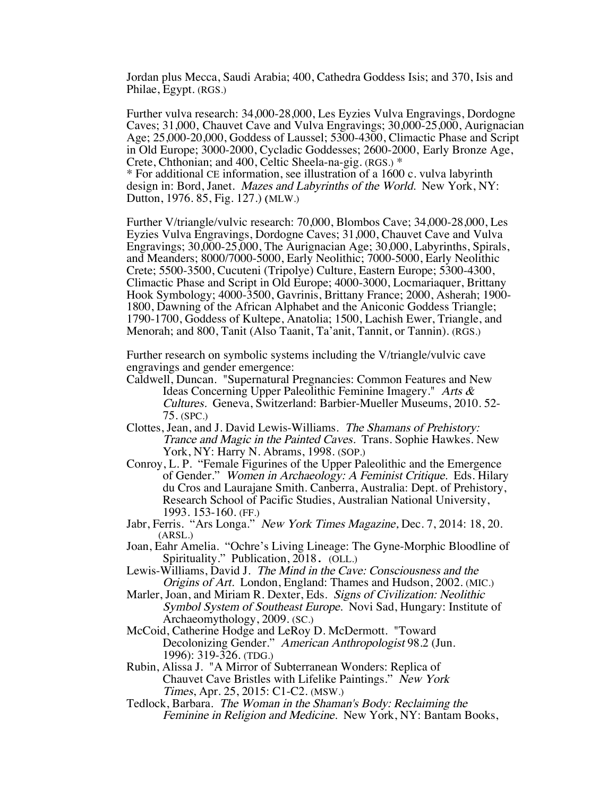Jordan plus Mecca, Saudi Arabia; 400, Cathedra Goddess Isis; and 370, Isis and Philae, Egypt. (RGS.)

Further vulva research: 34,000-28,000, Les Eyzies Vulva Engravings, Dordogne Caves; 31,000, Chauvet Cave and Vulva Engravings; 30,000-25,000, Aurignacian Age; 25,000-20,000, Goddess of Laussel; 5300-4300, Climactic Phase and Script in Old Europe; 3000-2000, Cycladic Goddesses; 2600-2000, Early Bronze Age, Crete, Chthonian; and 400, Celtic Sheela-na-gig. (RGS.) \*

\* For additional CE information, see illustration of a 1600 c. vulva labyrinth design in: Bord, Janet. Mazes and Labyrinths of the World. New York, NY: Dutton, 1976. 85, Fig. 127.) (MLW.)

Further V/triangle/vulvic research: 70,000, Blombos Cave; 34,000-28,000, Les Eyzies Vulva Engravings, Dordogne Caves; 31,000, Chauvet Cave and Vulva Engravings; 30,000-25,000, The Aurignacian Age; 30,000, Labyrinths, Spirals, and Meanders; 8000/7000-5000, Early Neolithic; 7000-5000, Early Neolithic Crete; 5500-3500, Cucuteni (Tripolye) Culture, Eastern Europe; 5300-4300, Climactic Phase and Script in Old Europe; 4000-3000, Locmariaquer, Brittany Hook Symbology; 4000-3500, Gavrinis, Brittany France; 2000, Asherah; 1900- 1800, Dawning of the African Alphabet and the Aniconic Goddess Triangle; 1790-1700, Goddess of Kultepe, Anatolia; 1500, Lachish Ewer, Triangle, and Menorah; and 800, Tanit (Also Taanit, Ta'anit, Tannit, or Tannin). (RGS.)

Further research on symbolic systems including the V/triangle/vulvic cave engravings and gender emergence:

- Caldwell, Duncan. "Supernatural Pregnancies: Common Features and New Ideas Concerning Upper Paleolithic Feminine Imagery." Arts & Cultures. Geneva, Switzerland: Barbier-Mueller Museums, 2010. 52- 75. (SPC.)
- Clottes, Jean, and J. David Lewis-Williams. The Shamans of Prehistory: Trance and Magic in the Painted Caves. Trans. Sophie Hawkes. New York, NY: Harry N. Abrams, 1998. (SOP.)
- Conroy, L. P. "Female Figurines of the Upper Paleolithic and the Emergence of Gender." Women in Archaeology: A Feminist Critique. Eds. Hilary du Cros and Laurajane Smith. Canberra, Australia: Dept. of Prehistory, Research School of Pacific Studies, Australian National University, 1993. 153-160. (FF.)
- Jabr, Ferris. "Ars Longa." New York Times Magazine, Dec. 7, 2014: 18, 20. (ARSL.)
- Joan, Eahr Amelia. "Ochre's Living Lineage: The Gyne-Morphic Bloodline of Spirituality." Publication, 2018. (OLL.)
- Lewis-Williams, David J. The Mind in the Cave: Consciousness and the Origins of Art. London, England: Thames and Hudson, 2002. (MIC.)
- Marler, Joan, and Miriam R. Dexter, Eds. Signs of Civilization: Neolithic Symbol System of Southeast Europe. Novi Sad, Hungary: Institute of Archaeomythology, 2009. (SC.)
- McCoid, Catherine Hodge and LeRoy D. McDermott. "Toward Decolonizing Gender." American Anthropologist 98.2 (Jun. 1996): 319-326. (TDG.)
- Rubin, Alissa J. "A Mirror of Subterranean Wonders: Replica of Chauvet Cave Bristles with Lifelike Paintings." New York Times, Apr. 25, 2015: C1-C2. (MSW.)
- Tedlock, Barbara. The Woman in the Shaman's Body: Reclaiming the Feminine in Religion and Medicine. New York, NY: Bantam Books,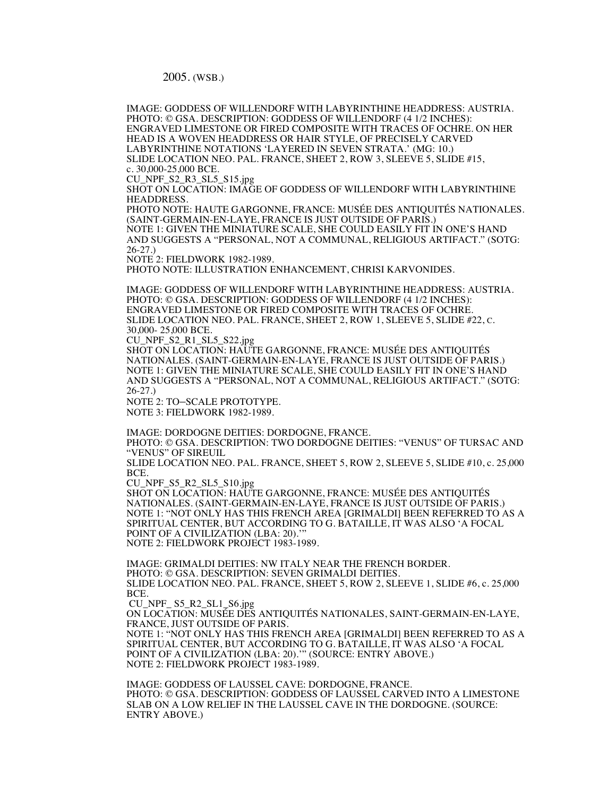2005. (WSB.)

IMAGE: GODDESS OF WILLENDORF WITH LABYRINTHINE HEADDRESS: AUSTRIA. PHOTO: © GSA. DESCRIPTION: GODDESS OF WILLENDORF (4 1/2 INCHES): ENGRAVED LIMESTONE OR FIRED COMPOSITE WITH TRACES OF OCHRE. ON HER HEAD IS A WOVEN HEADDRESS OR HAIR STYLE, OF PRECISELY CARVED LABYRINTHINE NOTATIONS 'LAYERED IN SEVEN STRATA.' (MG: 10.) SLIDE LOCATION NEO. PAL. FRANCE, SHEET 2, ROW 3, SLEEVE 5, SLIDE #15, c. 30,000-25,000 BCE. CU\_NPF\_S2\_R3\_SL5\_S15.jpg

SHOT ON LOCATION: IMAGE OF GODDESS OF WILLENDORF WITH LABYRINTHINE HEADDRESS.

PHOTO NOTE: HAUTE GARGONNE, FRANCE: MUSÉE DES ANTIQUITÉS NATIONALES. (SAINT-GERMAIN-EN-LAYE, FRANCE IS JUST OUTSIDE OF PARIS.) NOTE 1: GIVEN THE MINIATURE SCALE, SHE COULD EASILY FIT IN ONE'S HAND AND SUGGESTS A "PERSONAL, NOT A COMMUNAL, RELIGIOUS ARTIFACT." (SOTG: 26-27.)

NOTE 2: FIELDWORK 1982-1989.

PHOTO NOTE: ILLUSTRATION ENHANCEMENT, CHRISI KARVONIDES.

IMAGE: GODDESS OF WILLENDORF WITH LABYRINTHINE HEADDRESS: AUSTRIA. PHOTO: © GSA. DESCRIPTION: GODDESS OF WILLENDORF (4 1/2 INCHES): ENGRAVED LIMESTONE OR FIRED COMPOSITE WITH TRACES OF OCHRE. SLIDE LOCATION NEO. PAL. FRANCE, SHEET 2, ROW 1, SLEEVE 5, SLIDE #22, C. 30,000- 25,000 BCE.

CU\_NPF\_S2\_R1\_SL5\_S22.jpg

SHOT ON LOCATION: HAUTE GARGONNE, FRANCE: MUSÉE DES ANTIQUITÉS NATIONALES. (SAINT-GERMAIN-EN-LAYE, FRANCE IS JUST OUTSIDE OF PARIS.) NOTE 1: GIVEN THE MINIATURE SCALE, SHE COULD EASILY FIT IN ONE'S HAND AND SUGGESTS A "PERSONAL, NOT A COMMUNAL, RELIGIOUS ARTIFACT." (SOTG: 26-27.)

NOTE 2: TO–SCALE PROTOTYPE. NOTE 3: FIELDWORK 1982-1989.

IMAGE: DORDOGNE DEITIES: DORDOGNE, FRANCE.

PHOTO: © GSA. DESCRIPTION: TWO DORDOGNE DEITIES: "VENUS" OF TURSAC AND "VENUS" OF SIREUIL

SLIDE LOCATION NEO. PAL. FRANCE, SHEET 5, ROW 2, SLEEVE 5, SLIDE #10, c. 25,000 BCE.

CU\_NPF\_S5\_R2\_SL5\_S10.jpg

SHOT ON LOCATION: HAUTE GARGONNE, FRANCE: MUSÉE DES ANTIQUITÉS NATIONALES. (SAINT-GERMAIN-EN-LAYE, FRANCE IS JUST OUTSIDE OF PARIS.) NOTE 1: "NOT ONLY HAS THIS FRENCH AREA [GRIMALDI] BEEN REFERRED TO AS A SPIRITUAL CENTER, BUT ACCORDING TO G. BATAILLE, IT WAS ALSO 'A FOCAL POINT OF A CIVILIZATION (LBA: 20)." NOTE 2: FIELDWORK PROJECT 1983-1989.

IMAGE: GRIMALDI DEITIES: NW ITALY NEAR THE FRENCH BORDER. PHOTO: © GSA. DESCRIPTION: SEVEN GRIMALDI DEITIES. SLIDE LOCATION NEO. PAL. FRANCE, SHEET 5, ROW 2, SLEEVE 1, SLIDE #6, c. 25,000 BCE.

CU\_NPF\_ S5\_R2\_SL1\_S6.jpg

ON LOCATION: MUSÉE DES ANTIQUITÉS NATIONALES, SAINT-GERMAIN-EN-LAYE, FRANCE, JUST OUTSIDE OF PARIS.

NOTE 1: "NOT ONLY HAS THIS FRENCH AREA [GRIMALDI] BEEN REFERRED TO AS A SPIRITUAL CENTER, BUT ACCORDING TO G. BATAILLE, IT WAS ALSO 'A FOCAL POINT OF A CIVILIZATION (LBA: 20).'" (SOURCE: ENTRY ABOVE.) NOTE 2: FIELDWORK PROJECT 1983-1989.

IMAGE: GODDESS OF LAUSSEL CAVE: DORDOGNE, FRANCE. PHOTO: © GSA. DESCRIPTION: GODDESS OF LAUSSEL CARVED INTO A LIMESTONE SLAB ON A LOW RELIEF IN THE LAUSSEL CAVE IN THE DORDOGNE. (SOURCE: ENTRY ABOVE.)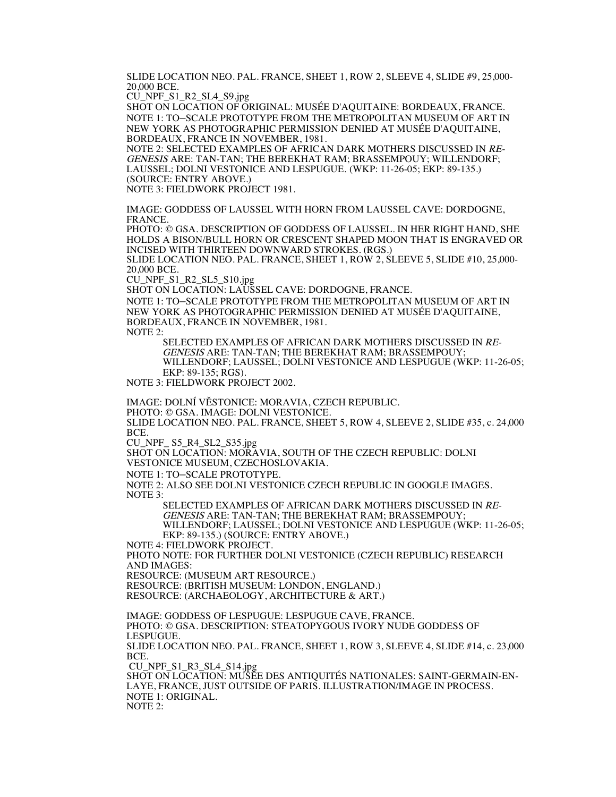SLIDE LOCATION NEO. PAL. FRANCE, SHEET 1, ROW 2, SLEEVE 4, SLIDE #9, 25,000-20.000 BCE.

 $CU_NPF_S1_R2_SL4_S9.jpg$ 

SHOT ON LOCATION OF ORIGINAL: MUSÉE D'AQUITAINE: BORDEAUX, FRANCE. NOTE 1: TO–SCALE PROTOTYPE FROM THE METROPOLITAN MUSEUM OF ART IN NEW YORK AS PHOTOGRAPHIC PERMISSION DENIED AT MUSÉE D'AQUITAINE, BORDEAUX, FRANCE IN NOVEMBER, 1981.

NOTE 2: SELECTED EXAMPLES OF AFRICAN DARK MOTHERS DISCUSSED IN RE-GENESIS ARE: TAN-TAN; THE BEREKHAT RAM; BRASSEMPOUY; WILLENDORF; LAUSSEL; DOLNI VESTONICE AND LESPUGUE. (WKP: 11-26-05; EKP: 89-135.) (SOURCE: ENTRY ABOVE.)

NOTE 3: FIELDWORK PROJECT 1981.

IMAGE: GODDESS OF LAUSSEL WITH HORN FROM LAUSSEL CAVE: DORDOGNE, FRANCE.

PHOTO: © GSA. DESCRIPTION OF GODDESS OF LAUSSEL. IN HER RIGHT HAND, SHE HOLDS A BISON/BULL HORN OR CRESCENT SHAPED MOON THAT IS ENGRAVED OR INCISED WITH THIRTEEN DOWNWARD STROKES. (RGS.)

SLIDE LOCATION NEO. PAL. FRANCE, SHEET 1, ROW 2, SLEEVE 5, SLIDE #10, 25,000- 20,000 BCE.

CU\_NPF\_S1\_R2\_SL5\_S10.jpg

SHOT ON LOCATION: LAUSSEL CAVE: DORDOGNE, FRANCE.

NOTE 1: TO–SCALE PROTOTYPE FROM THE METROPOLITAN MUSEUM OF ART IN NEW YORK AS PHOTOGRAPHIC PERMISSION DENIED AT MUSÉE D'AQUITAINE, BORDEAUX, FRANCE IN NOVEMBER, 1981.

NOTE 2:

SELECTED EXAMPLES OF AFRICAN DARK MOTHERS DISCUSSED IN RE-GENESIS ARE: TAN-TAN; THE BEREKHAT RAM; BRASSEMPOUY; WILLENDORF; LAUSSEL; DOLNI VESTONICE AND LESPUGUE (WKP: 11-26-05; EKP: 89-135; RGS).

NOTE 3: FIELDWORK PROJECT 2002.

IMAGE: DOLNÍ VĚSTONICE: MORAVIA, CZECH REPUBLIC. PHOTO: © GSA. IMAGE: DOLNI VESTONICE. SLIDE LOCATION NEO. PAL. FRANCE, SHEET 5, ROW 4, SLEEVE 2, SLIDE #35, c. 24,000 BCE. CU\_NPF\_ S5\_R4\_SL2\_S35.jpg SHOT ON LOCATION: MORAVIA, SOUTH OF THE CZECH REPUBLIC: DOLNI VESTONICE MUSEUM, CZECHOSLOVAKIA. NOTE 1: TO–SCALE PROTOTYPE. NOTE 2: ALSO SEE DOLNI VESTONICE CZECH REPUBLIC IN GOOGLE IMAGES. NOTE 3: SELECTED EXAMPLES OF AFRICAN DARK MOTHERS DISCUSSED IN RE-GENESIS ARE: TAN-TAN; THE BEREKHAT RAM; BRASSEMPOUY; WILLENDORF; LAUSSEL; DOLNI VESTONICE AND LESPUGUE (WKP: 11-26-05; EKP: 89-135.) (SOURCE: ENTRY ABOVE.) NOTE 4: FIELDWORK PROJECT. PHOTO NOTE: FOR FURTHER DOLNI VESTONICE (CZECH REPUBLIC) RESEARCH AND IMAGES: RESOURCE: (MUSEUM ART RESOURCE.) RESOURCE: (BRITISH MUSEUM: LONDON, ENGLAND.) RESOURCE: (ARCHAEOLOGY, ARCHITECTURE & ART.) IMAGE: GODDESS OF LESPUGUE: LESPUGUE CAVE, FRANCE. PHOTO: © GSA. DESCRIPTION: STEATOPYGOUS IVORY NUDE GODDESS OF LESPUGUE. SLIDE LOCATION NEO. PAL. FRANCE, SHEET 1, ROW 3, SLEEVE 4, SLIDE #14, c. 23,000 BCE. CU\_NPF\_S1\_R3\_SL4\_S14.jpg SHOT ON LOCATION: MUSÉE DES ANTIQUITÉS NATIONALES: SAINT-GERMAIN-EN-LAYE, FRANCE, JUST OUTSIDE OF PARIS. ILLUSTRATION/IMAGE IN PROCESS. NOTE 1: ORIGINAL. NOTE 2: